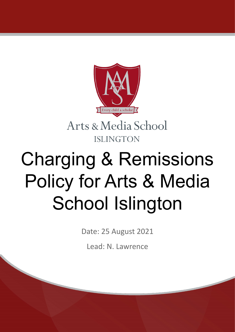

Arts & Media School **ISLINGTON** 

## Charging & Remissions Policy for Arts & Media School Islington

Date: 25 August 2021

Lead: N. Lawrence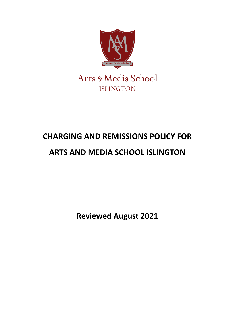

## **CHARGING AND REMISSIONS POLICY FOR**

## **ARTS AND MEDIA SCHOOL ISLINGTON**

**Reviewed August 2021**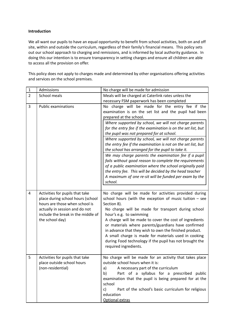## **Introduction**

We all want our pupils to have an equal opportunity to benefit from school activities, both on and off site, within and outside the curriculum, regardless of their family's financial means. This policy sets out our school approach to charging and remissions, and is informed by local authority guidance. In doing this our intention is to ensure transparency in setting charges and ensure all children are able to access all the provision on offer.

This policy does not apply to charges made and determined by other organisations offering activities and services on the school premises.

| $\mathbf{1}$   | Admissions                                                                                                                                                                                        | No charge will be made for admission                                                                                                                                                                                                                                                                                                                                                                                                                                                                                                                                                                                                                                                                                                                                                                  |
|----------------|---------------------------------------------------------------------------------------------------------------------------------------------------------------------------------------------------|-------------------------------------------------------------------------------------------------------------------------------------------------------------------------------------------------------------------------------------------------------------------------------------------------------------------------------------------------------------------------------------------------------------------------------------------------------------------------------------------------------------------------------------------------------------------------------------------------------------------------------------------------------------------------------------------------------------------------------------------------------------------------------------------------------|
| $\overline{2}$ | School meals                                                                                                                                                                                      | Meals will be charged at Caterlink rates unless the                                                                                                                                                                                                                                                                                                                                                                                                                                                                                                                                                                                                                                                                                                                                                   |
|                |                                                                                                                                                                                                   | necessary FSM paperwork has been completed                                                                                                                                                                                                                                                                                                                                                                                                                                                                                                                                                                                                                                                                                                                                                            |
| 3              | <b>Public examinations</b>                                                                                                                                                                        | No charge will be made for the entry fee if the<br>examination is on the set list and the pupil had been<br>prepared at the school.<br>Where supported by school, we will not charge parents<br>for the entry fee if the examination is on the set list, but<br>the pupil was not prepared for at school.<br>Where supported by school, we will not charge parents<br>the entry fee if the examination is not on the set list, but<br>the school has arranged for the pupil to take it.<br>We may charge parents the examination fee if a pupil<br>fails without good reason to complete the requirements<br>of a public examination where the school originally paid<br>the entry fee. This will be decided by the head teacher<br>A maximum of one re-sit will be funded per exam by the<br>school. |
| 4              | Activities for pupils that take<br>place during school hours (school<br>hours are those when school is<br>actually in session and do not<br>include the break in the middle of<br>the school day) | No charge will be made for activities provided during<br>school hours (with the exception of music tuition $-$ see<br>Section 8).<br>No charge will be made for transport during school<br>hour's e.g. to swimming<br>A charge will be made to cover the cost of ingredients<br>or materials where parents/guardians have confirmed<br>in advance that they wish to own the finished product.<br>A small charge is made for materials used in cooking<br>during Food technology if the pupil has not brought the<br>required ingredients.                                                                                                                                                                                                                                                             |
| 5              | Activities for pupils that take<br>place outside school hours<br>(non-residential)                                                                                                                | No charge will be made for an activity that takes place<br>outside school hours when it is:<br>A necessary part of the curriculum<br>a)<br>b)<br>Part of a syllabus for a prescribed public<br>examination that the pupil is being prepared for at the<br>school<br>Part of the school's basic curriculum for religious<br>$\mathsf{C}$<br>education<br>Optional extras                                                                                                                                                                                                                                                                                                                                                                                                                               |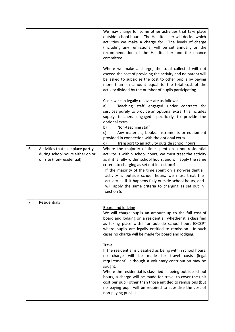|                |                                                                                                      | We may charge for some other activities that take place<br>outside school hours. The Headteacher will decide which<br>activities we make a charge for. The levels of charge<br>(including any remissions) will be set annually on the<br>recommendation of the Headteacher and the finance<br>committee.<br>Where we make a charge, the total collected will not                                                                                                                              |
|----------------|------------------------------------------------------------------------------------------------------|-----------------------------------------------------------------------------------------------------------------------------------------------------------------------------------------------------------------------------------------------------------------------------------------------------------------------------------------------------------------------------------------------------------------------------------------------------------------------------------------------|
|                |                                                                                                      | exceed the cost of providing the activity and no parent will<br>be asked to subsidise the cost to other pupils by paying<br>more than an amount equal to the total cost of the<br>activity divided by the number of pupils participating.                                                                                                                                                                                                                                                     |
|                |                                                                                                      | Costs we can legally recover are as follows:<br>Teaching staff engaged under contracts for<br>a)<br>services purely to provide an optional extra, this includes<br>supply teachers engaged specifically to provide the<br>optional extra<br>Non-teaching staff<br>b)<br>c)<br>Any materials, books, instruments or equipment<br>provided in connection with the optional extra<br>d)<br>Transport to an activity outside school hours                                                         |
| 6              | Activities that take place partly<br>during school hours either on or<br>off site (non-residential). | Where the majority of time spent on a non-residential<br>activity is within school hours, we must treat the activity<br>as if it is fully within school hours, and will apply the same<br>criteria to charging as set out in section 4.<br>If the majority of the time spent on a non-residential<br>activity is outside school hours, we must treat the<br>activity as if it happens fully outside school hours, and<br>will apply the same criteria to charging as set out in<br>section 5. |
| $\overline{7}$ | Residentials                                                                                         | <b>Board and lodging</b><br>We will charge pupils an amount up to the full cost of<br>board and lodging on a residential, whether it is classified<br>as taking place within or outside school hours EXCEPT<br>where pupils are legally entitled to remission. In such<br>cases no charge will be made for board and lodging.                                                                                                                                                                 |
|                |                                                                                                      | <b>Travel</b><br>If the residential is classified as being within school hours,<br>no charge will be made for travel costs (legal<br>requirement), although a voluntary contribution may be<br>sought.<br>Where the residential is classified as being outside school<br>hours, a charge will be made for travel to cover the unit<br>cost per pupil other than those entitled to remissions (but<br>no paying pupil will be required to subsidise the cost of<br>non-paying pupils).         |